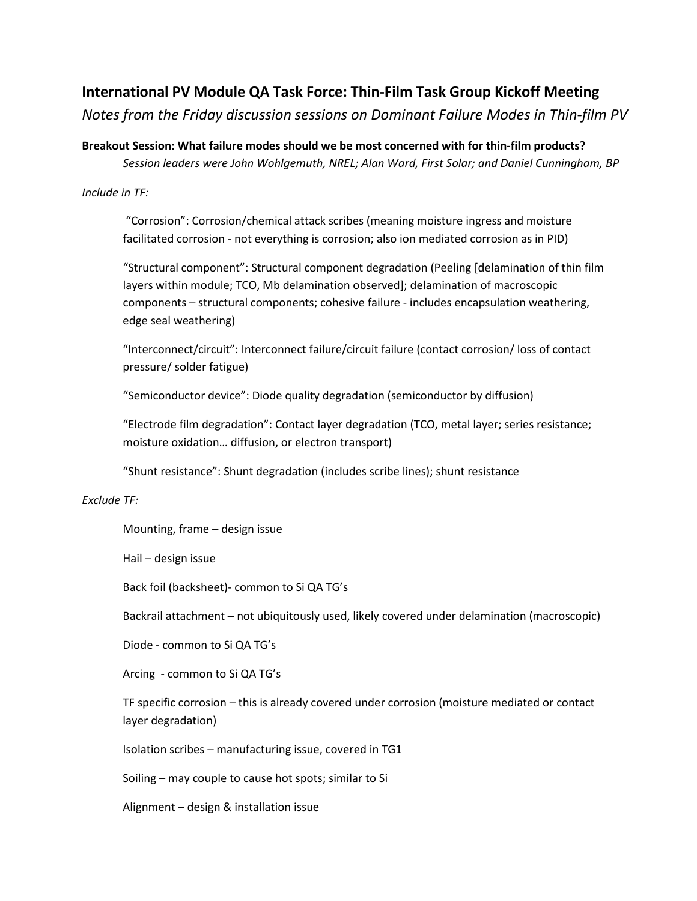## **International PV Module QA Task Force: Thin-Film Task Group Kickoff Meeting**

*Notes from the Friday discussion sessions on Dominant Failure Modes in Thin-film PV*

**Breakout Session: What failure modes should we be most concerned with for thin-film products?**  *Session leaders were John Wohlgemuth, NREL; Alan Ward, First Solar; and Daniel Cunningham, BP*

## *Include in TF:*

"Corrosion": Corrosion/chemical attack scribes (meaning moisture ingress and moisture facilitated corrosion - not everything is corrosion; also ion mediated corrosion as in PID)

"Structural component": Structural component degradation (Peeling [delamination of thin film layers within module; TCO, Mb delamination observed]; delamination of macroscopic components – structural components; cohesive failure - includes encapsulation weathering, edge seal weathering)

"Interconnect/circuit": Interconnect failure/circuit failure (contact corrosion/ loss of contact pressure/ solder fatigue)

"Semiconductor device": Diode quality degradation (semiconductor by diffusion)

"Electrode film degradation": Contact layer degradation (TCO, metal layer; series resistance; moisture oxidation… diffusion, or electron transport)

"Shunt resistance": Shunt degradation (includes scribe lines); shunt resistance

## *Exclude TF:*

Mounting, frame – design issue

Hail – design issue

Back foil (backsheet)- common to Si QA TG's

Backrail attachment – not ubiquitously used, likely covered under delamination (macroscopic)

Diode - common to Si QA TG's

Arcing - common to Si QA TG's

TF specific corrosion – this is already covered under corrosion (moisture mediated or contact layer degradation)

Isolation scribes – manufacturing issue, covered in TG1

Soiling – may couple to cause hot spots; similar to Si

Alignment – design & installation issue